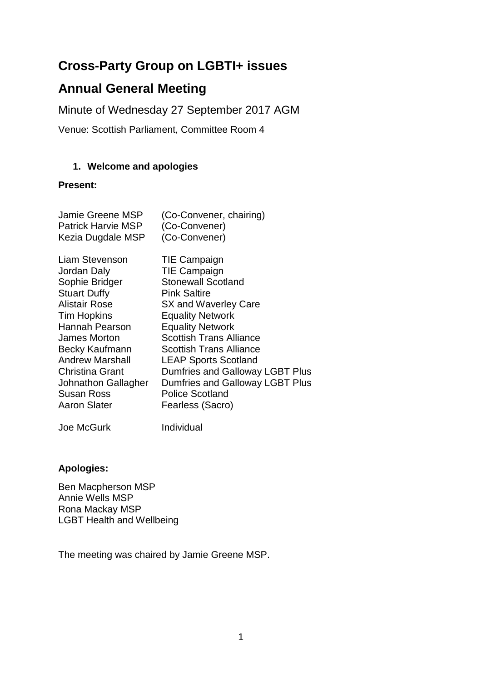# **Cross-Party Group on LGBTI+ issues**

# **Annual General Meeting**

Minute of Wednesday 27 September 2017 AGM

Venue: Scottish Parliament, Committee Room 4

#### **1. Welcome and apologies**

#### **Present:**

| Jamie Greene MSP          | (Co-Convener, chairing)         |
|---------------------------|---------------------------------|
| <b>Patrick Harvie MSP</b> | (Co-Convener)                   |
| Kezia Dugdale MSP         | (Co-Convener)                   |
| Liam Stevenson            | TIE Campaign                    |
| Jordan Daly               | <b>TIE Campaign</b>             |
| Sophie Bridger            | <b>Stonewall Scotland</b>       |
| <b>Stuart Duffy</b>       | <b>Pink Saltire</b>             |
| <b>Alistair Rose</b>      | SX and Waverley Care            |
| Tim Hopkins               | <b>Equality Network</b>         |
| Hannah Pearson            | <b>Equality Network</b>         |
| James Morton              | <b>Scottish Trans Alliance</b>  |
| Becky Kaufmann            | <b>Scottish Trans Alliance</b>  |
| <b>Andrew Marshall</b>    | <b>LEAP Sports Scotland</b>     |
| <b>Christina Grant</b>    | Dumfries and Galloway LGBT Plus |
| Johnathon Gallagher       | Dumfries and Galloway LGBT Plus |
| Susan Ross                | <b>Police Scotland</b>          |
| <b>Aaron Slater</b>       | Fearless (Sacro)                |
| Joe McGurk                | Individual                      |

# **Apologies:**

Ben Macpherson MSP Annie Wells MSP Rona Mackay MSP LGBT Health and Wellbeing

The meeting was chaired by Jamie Greene MSP.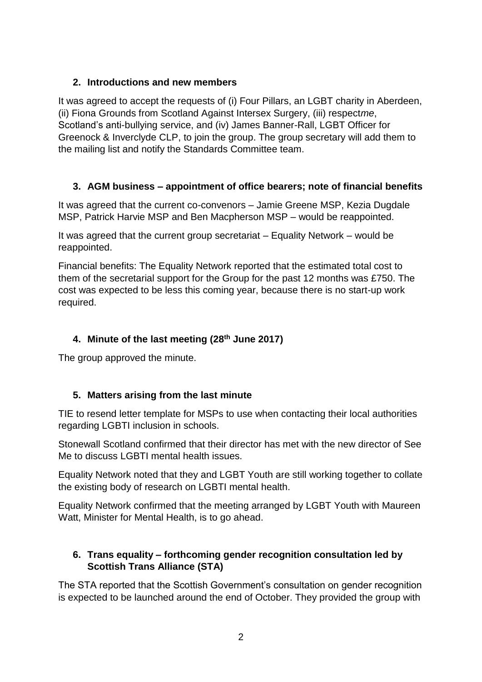## **2. Introductions and new members**

It was agreed to accept the requests of (i) Four Pillars, an LGBT charity in Aberdeen, (ii) Fiona Grounds from Scotland Against Intersex Surgery, (iii) respect*me*, Scotland's anti-bullying service, and (iv) James Banner-Rall, LGBT Officer for Greenock & Inverclyde CLP, to join the group. The group secretary will add them to the mailing list and notify the Standards Committee team.

# **3. AGM business – appointment of office bearers; note of financial benefits**

It was agreed that the current co-convenors – Jamie Greene MSP, Kezia Dugdale MSP, Patrick Harvie MSP and Ben Macpherson MSP – would be reappointed.

It was agreed that the current group secretariat – Equality Network – would be reappointed.

Financial benefits: The Equality Network reported that the estimated total cost to them of the secretarial support for the Group for the past 12 months was £750. The cost was expected to be less this coming year, because there is no start-up work required.

# **4. Minute of the last meeting (28th June 2017)**

The group approved the minute.

# **5. Matters arising from the last minute**

TIE to resend letter template for MSPs to use when contacting their local authorities regarding LGBTI inclusion in schools.

Stonewall Scotland confirmed that their director has met with the new director of See Me to discuss LGBTI mental health issues.

Equality Network noted that they and LGBT Youth are still working together to collate the existing body of research on LGBTI mental health.

Equality Network confirmed that the meeting arranged by LGBT Youth with Maureen Watt, Minister for Mental Health, is to go ahead.

## **6. Trans equality – forthcoming gender recognition consultation led by Scottish Trans Alliance (STA)**

The STA reported that the Scottish Government's consultation on gender recognition is expected to be launched around the end of October. They provided the group with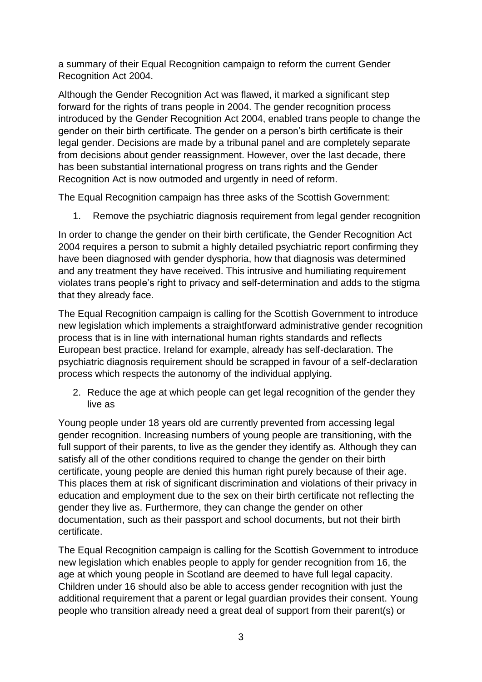a summary of their Equal Recognition campaign to reform the current Gender Recognition Act 2004.

Although the Gender Recognition Act was flawed, it marked a significant step forward for the rights of trans people in 2004. The gender recognition process introduced by the Gender Recognition Act 2004, enabled trans people to change the gender on their birth certificate. The gender on a person's birth certificate is their legal gender. Decisions are made by a tribunal panel and are completely separate from decisions about gender reassignment. However, over the last decade, there has been substantial international progress on trans rights and the Gender Recognition Act is now outmoded and urgently in need of reform.

The Equal Recognition campaign has three asks of the Scottish Government:

1. Remove the psychiatric diagnosis requirement from legal gender recognition

In order to change the gender on their birth certificate, the Gender Recognition Act 2004 requires a person to submit a highly detailed psychiatric report confirming they have been diagnosed with gender dysphoria, how that diagnosis was determined and any treatment they have received. This intrusive and humiliating requirement violates trans people's right to privacy and self-determination and adds to the stigma that they already face.

The Equal Recognition campaign is calling for the Scottish Government to introduce new legislation which implements a straightforward administrative gender recognition process that is in line with international human rights standards and reflects European best practice. Ireland for example, already has self-declaration. The psychiatric diagnosis requirement should be scrapped in favour of a self-declaration process which respects the autonomy of the individual applying.

2. Reduce the age at which people can get legal recognition of the gender they live as

Young people under 18 years old are currently prevented from accessing legal gender recognition. Increasing numbers of young people are transitioning, with the full support of their parents, to live as the gender they identify as. Although they can satisfy all of the other conditions required to change the gender on their birth certificate, young people are denied this human right purely because of their age. This places them at risk of significant discrimination and violations of their privacy in education and employment due to the sex on their birth certificate not reflecting the gender they live as. Furthermore, they can change the gender on other documentation, such as their passport and school documents, but not their birth certificate.

The Equal Recognition campaign is calling for the Scottish Government to introduce new legislation which enables people to apply for gender recognition from 16, the age at which young people in Scotland are deemed to have full legal capacity. Children under 16 should also be able to access gender recognition with just the additional requirement that a parent or legal guardian provides their consent. Young people who transition already need a great deal of support from their parent(s) or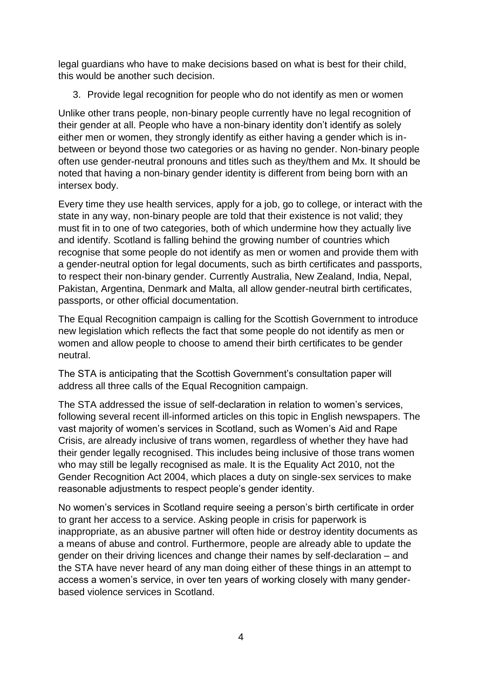legal guardians who have to make decisions based on what is best for their child, this would be another such decision.

3. Provide legal recognition for people who do not identify as men or women

Unlike other trans people, non-binary people currently have no legal recognition of their gender at all. People who have a non-binary identity don't identify as solely either men or women, they strongly identify as either having a gender which is inbetween or beyond those two categories or as having no gender. Non-binary people often use gender-neutral pronouns and titles such as they/them and Mx. It should be noted that having a non-binary gender identity is different from being born with an intersex body.

Every time they use health services, apply for a job, go to college, or interact with the state in any way, non-binary people are told that their existence is not valid; they must fit in to one of two categories, both of which undermine how they actually live and identify. Scotland is falling behind the growing number of countries which recognise that some people do not identify as men or women and provide them with a gender-neutral option for legal documents, such as birth certificates and passports, to respect their non-binary gender. Currently Australia, New Zealand, India, Nepal, Pakistan, Argentina, Denmark and Malta, all allow gender-neutral birth certificates, passports, or other official documentation.

The Equal Recognition campaign is calling for the Scottish Government to introduce new legislation which reflects the fact that some people do not identify as men or women and allow people to choose to amend their birth certificates to be gender neutral.

The STA is anticipating that the Scottish Government's consultation paper will address all three calls of the Equal Recognition campaign.

The STA addressed the issue of self-declaration in relation to women's services, following several recent ill-informed articles on this topic in English newspapers. The vast majority of women's services in Scotland, such as Women's Aid and Rape Crisis, are already inclusive of trans women, regardless of whether they have had their gender legally recognised. This includes being inclusive of those trans women who may still be legally recognised as male. It is the Equality Act 2010, not the Gender Recognition Act 2004, which places a duty on single-sex services to make reasonable adjustments to respect people's gender identity.

No women's services in Scotland require seeing a person's birth certificate in order to grant her access to a service. Asking people in crisis for paperwork is inappropriate, as an abusive partner will often hide or destroy identity documents as a means of abuse and control. Furthermore, people are already able to update the gender on their driving licences and change their names by self-declaration – and the STA have never heard of any man doing either of these things in an attempt to access a women's service, in over ten years of working closely with many genderbased violence services in Scotland.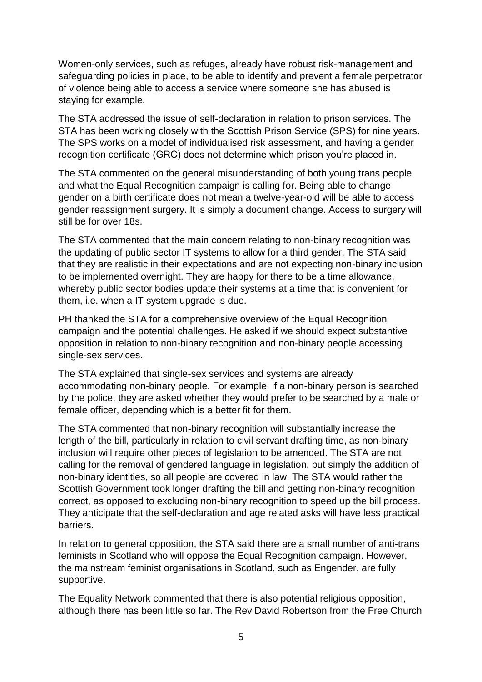Women-only services, such as refuges, already have robust risk-management and safeguarding policies in place, to be able to identify and prevent a female perpetrator of violence being able to access a service where someone she has abused is staying for example.

The STA addressed the issue of self-declaration in relation to prison services. The STA has been working closely with the Scottish Prison Service (SPS) for nine years. The SPS works on a model of individualised risk assessment, and having a gender recognition certificate (GRC) does not determine which prison you're placed in.

The STA commented on the general misunderstanding of both young trans people and what the Equal Recognition campaign is calling for. Being able to change gender on a birth certificate does not mean a twelve-year-old will be able to access gender reassignment surgery. It is simply a document change. Access to surgery will still be for over 18s.

The STA commented that the main concern relating to non-binary recognition was the updating of public sector IT systems to allow for a third gender. The STA said that they are realistic in their expectations and are not expecting non-binary inclusion to be implemented overnight. They are happy for there to be a time allowance, whereby public sector bodies update their systems at a time that is convenient for them, i.e. when a IT system upgrade is due.

PH thanked the STA for a comprehensive overview of the Equal Recognition campaign and the potential challenges. He asked if we should expect substantive opposition in relation to non-binary recognition and non-binary people accessing single-sex services.

The STA explained that single-sex services and systems are already accommodating non-binary people. For example, if a non-binary person is searched by the police, they are asked whether they would prefer to be searched by a male or female officer, depending which is a better fit for them.

The STA commented that non-binary recognition will substantially increase the length of the bill, particularly in relation to civil servant drafting time, as non-binary inclusion will require other pieces of legislation to be amended. The STA are not calling for the removal of gendered language in legislation, but simply the addition of non-binary identities, so all people are covered in law. The STA would rather the Scottish Government took longer drafting the bill and getting non-binary recognition correct, as opposed to excluding non-binary recognition to speed up the bill process. They anticipate that the self-declaration and age related asks will have less practical barriers.

In relation to general opposition, the STA said there are a small number of anti-trans feminists in Scotland who will oppose the Equal Recognition campaign. However, the mainstream feminist organisations in Scotland, such as Engender, are fully supportive.

The Equality Network commented that there is also potential religious opposition, although there has been little so far. The Rev David Robertson from the Free Church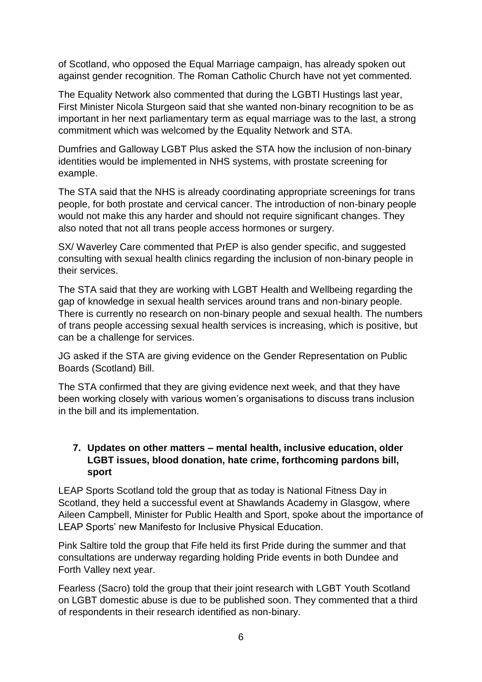of Scotland, who opposed the Equal Marriage campaign, has already spoken out against gender recognition. The Roman Catholic Church have not yet commented.

The Equality Network also commented that during the LGBTI Hustings last year, First Minister Nicola Sturgeon said that she wanted non-binary recognition to be as important in her next parliamentary term as equal marriage was to the last, a strong commitment which was welcomed by the Equality Network and STA.

Dumfries and Galloway LGBT Plus asked the STA how the inclusion of non-binary identities would be implemented in NHS systems, with prostate screening for example.

The STA said that the NHS is already coordinating appropriate screenings for trans people, for both prostate and cervical cancer. The introduction of non-binary people would not make this any harder and should not require significant changes. They also noted that not all trans people access hormones or surgery.

SX/ Waverley Care commented that PrEP is also gender specific, and suggested consulting with sexual health clinics regarding the inclusion of non-binary people in their services.

The STA said that they are working with LGBT Health and Wellbeing regarding the gap of knowledge in sexual health services around trans and non-binary people. There is currently no research on non-binary people and sexual health. The numbers of trans people accessing sexual health services is increasing, which is positive, but can be a challenge for services.

JG asked if the STA are giving evidence on the Gender Representation on Public Boards (Scotland) Bill.

The STA confirmed that they are giving evidence next week, and that they have been working closely with various women's organisations to discuss trans inclusion in the bill and its implementation.

#### **7. Updates on other matters – mental health, inclusive education, older LGBT issues, blood donation, hate crime, forthcoming pardons bill, sport**

LEAP Sports Scotland told the group that as today is National Fitness Day in Scotland, they held a successful event at Shawlands Academy in Glasgow, where Aileen Campbell, Minister for Public Health and Sport, spoke about the importance of LEAP Sports' new Manifesto for Inclusive Physical Education.

Pink Saltire told the group that Fife held its first Pride during the summer and that consultations are underway regarding holding Pride events in both Dundee and Forth Valley next year.

Fearless (Sacro) told the group that their joint research with LGBT Youth Scotland on LGBT domestic abuse is due to be published soon. They commented that a third of respondents in their research identified as non-binary.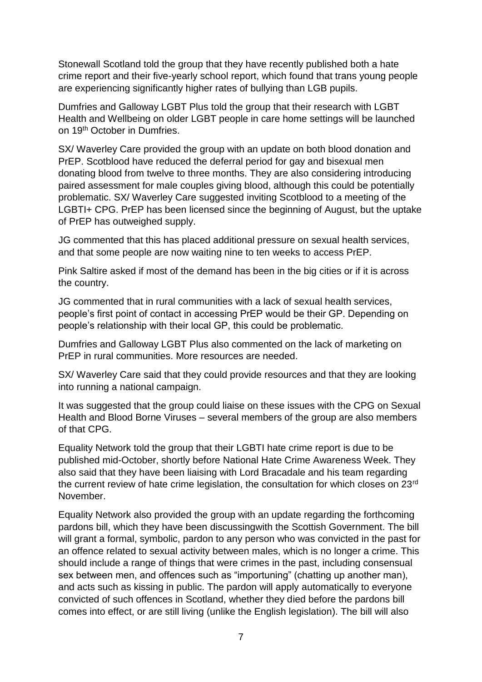Stonewall Scotland told the group that they have recently published both a hate crime report and their five-yearly school report, which found that trans young people are experiencing significantly higher rates of bullying than LGB pupils.

Dumfries and Galloway LGBT Plus told the group that their research with LGBT Health and Wellbeing on older LGBT people in care home settings will be launched on 19th October in Dumfries.

SX/ Waverley Care provided the group with an update on both blood donation and PrEP. Scotblood have reduced the deferral period for gay and bisexual men donating blood from twelve to three months. They are also considering introducing paired assessment for male couples giving blood, although this could be potentially problematic. SX/ Waverley Care suggested inviting Scotblood to a meeting of the LGBTI+ CPG. PrEP has been licensed since the beginning of August, but the uptake of PrEP has outweighed supply.

JG commented that this has placed additional pressure on sexual health services, and that some people are now waiting nine to ten weeks to access PrEP.

Pink Saltire asked if most of the demand has been in the big cities or if it is across the country.

JG commented that in rural communities with a lack of sexual health services, people's first point of contact in accessing PrEP would be their GP. Depending on people's relationship with their local GP, this could be problematic.

Dumfries and Galloway LGBT Plus also commented on the lack of marketing on PrEP in rural communities. More resources are needed.

SX/ Waverley Care said that they could provide resources and that they are looking into running a national campaign.

It was suggested that the group could liaise on these issues with the CPG on Sexual Health and Blood Borne Viruses – several members of the group are also members of that CPG.

Equality Network told the group that their LGBTI hate crime report is due to be published mid-October, shortly before National Hate Crime Awareness Week. They also said that they have been liaising with Lord Bracadale and his team regarding the current review of hate crime legislation, the consultation for which closes on 23<sup>rd</sup> November.

Equality Network also provided the group with an update regarding the forthcoming pardons bill, which they have been discussingwith the Scottish Government. The bill will grant a formal, symbolic, pardon to any person who was convicted in the past for an offence related to sexual activity between males, which is no longer a crime. This should include a range of things that were crimes in the past, including consensual sex between men, and offences such as "importuning" (chatting up another man), and acts such as kissing in public. The pardon will apply automatically to everyone convicted of such offences in Scotland, whether they died before the pardons bill comes into effect, or are still living (unlike the English legislation). The bill will also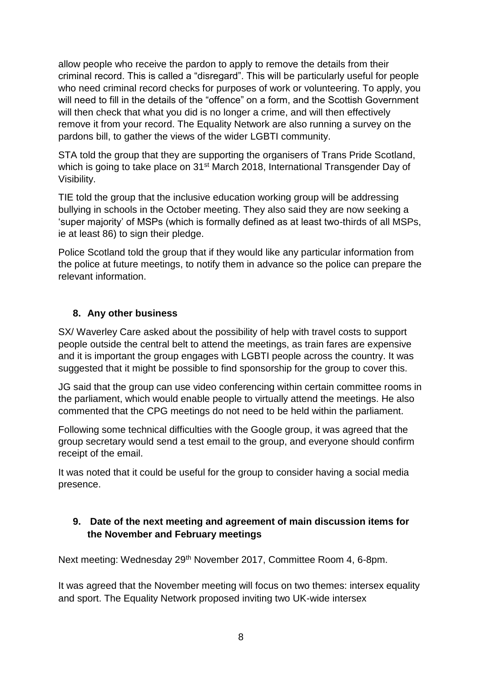allow people who receive the pardon to apply to remove the details from their criminal record. This is called a "disregard". This will be particularly useful for people who need criminal record checks for purposes of work or volunteering. To apply, you will need to fill in the details of the "offence" on a form, and the Scottish Government will then check that what you did is no longer a crime, and will then effectively remove it from your record. The Equality Network are also running a survey on the pardons bill, to gather the views of the wider LGBTI community.

STA told the group that they are supporting the organisers of Trans Pride Scotland, which is going to take place on 31<sup>st</sup> March 2018, International Transgender Day of Visibility.

TIE told the group that the inclusive education working group will be addressing bullying in schools in the October meeting. They also said they are now seeking a 'super majority' of MSPs (which is formally defined as at least two-thirds of all MSPs, ie at least 86) to sign their pledge.

Police Scotland told the group that if they would like any particular information from the police at future meetings, to notify them in advance so the police can prepare the relevant information.

#### **8. Any other business**

SX/ Waverley Care asked about the possibility of help with travel costs to support people outside the central belt to attend the meetings, as train fares are expensive and it is important the group engages with LGBTI people across the country. It was suggested that it might be possible to find sponsorship for the group to cover this.

JG said that the group can use video conferencing within certain committee rooms in the parliament, which would enable people to virtually attend the meetings. He also commented that the CPG meetings do not need to be held within the parliament.

Following some technical difficulties with the Google group, it was agreed that the group secretary would send a test email to the group, and everyone should confirm receipt of the email.

It was noted that it could be useful for the group to consider having a social media presence.

## **9. Date of the next meeting and agreement of main discussion items for the November and February meetings**

Next meeting: Wednesday 29th November 2017, Committee Room 4, 6-8pm.

It was agreed that the November meeting will focus on two themes: intersex equality and sport. The Equality Network proposed inviting two UK-wide intersex